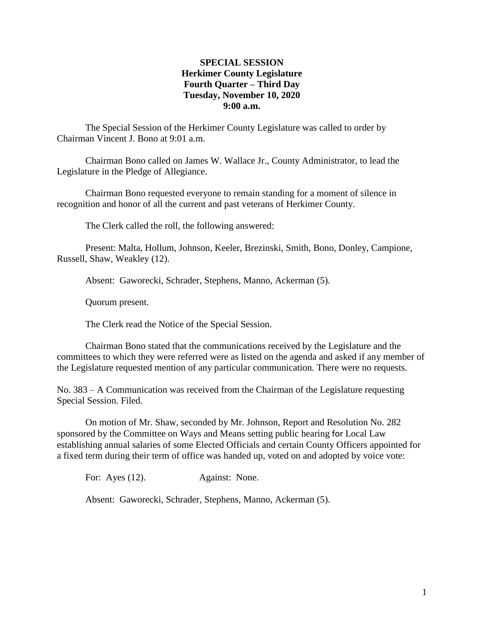### **SPECIAL SESSION Herkimer County Legislature Fourth Quarter – Third Day Tuesday, November 10, 2020 9:00 a.m.**

The Special Session of the Herkimer County Legislature was called to order by Chairman Vincent J. Bono at 9:01 a.m.

Chairman Bono called on James W. Wallace Jr., County Administrator, to lead the Legislature in the Pledge of Allegiance.

Chairman Bono requested everyone to remain standing for a moment of silence in recognition and honor of all the current and past veterans of Herkimer County.

The Clerk called the roll, the following answered:

Present: Malta, Hollum, Johnson, Keeler, Brezinski, Smith, Bono, Donley, Campione, Russell, Shaw, Weakley (12).

Absent: Gaworecki, Schrader, Stephens, Manno, Ackerman (5).

Quorum present.

The Clerk read the Notice of the Special Session.

Chairman Bono stated that the communications received by the Legislature and the committees to which they were referred were as listed on the agenda and asked if any member of the Legislature requested mention of any particular communication. There were no requests.

No. 383 – A Communication was received from the Chairman of the Legislature requesting Special Session. Filed.

On motion of Mr. Shaw, seconded by Mr. Johnson, Report and Resolution No. 282 sponsored by the Committee on Ways and Means setting public hearing for Local Law establishing annual salaries of some Elected Officials and certain County Officers appointed for a fixed term during their term of office was handed up, voted on and adopted by voice vote:

For: Ayes (12). Against: None.

Absent: Gaworecki, Schrader, Stephens, Manno, Ackerman (5).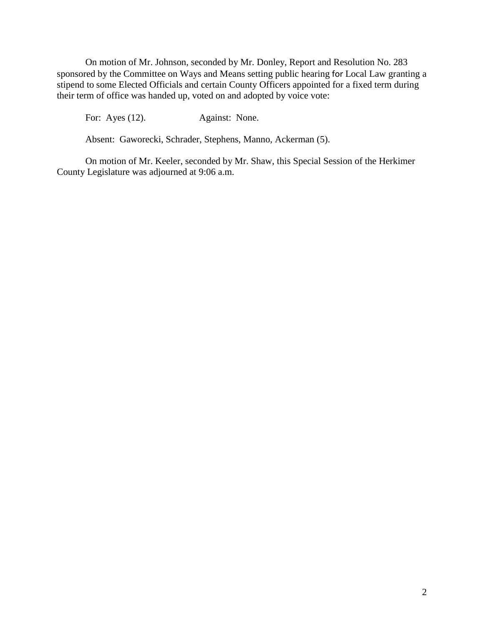On motion of Mr. Johnson, seconded by Mr. Donley, Report and Resolution No. 283 sponsored by the Committee on Ways and Means setting public hearing for Local Law granting a stipend to some Elected Officials and certain County Officers appointed for a fixed term during their term of office was handed up, voted on and adopted by voice vote:

For: Ayes (12). Against: None.

Absent: Gaworecki, Schrader, Stephens, Manno, Ackerman (5).

On motion of Mr. Keeler, seconded by Mr. Shaw, this Special Session of the Herkimer County Legislature was adjourned at 9:06 a.m.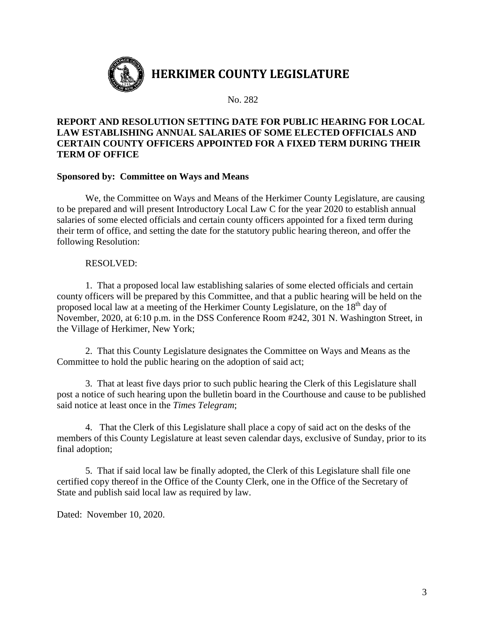

No. 282

# **REPORT AND RESOLUTION SETTING DATE FOR PUBLIC HEARING FOR LOCAL LAW ESTABLISHING ANNUAL SALARIES OF SOME ELECTED OFFICIALS AND CERTAIN COUNTY OFFICERS APPOINTED FOR A FIXED TERM DURING THEIR TERM OF OFFICE**

### **Sponsored by: Committee on Ways and Means**

We, the Committee on Ways and Means of the Herkimer County Legislature, are causing to be prepared and will present Introductory Local Law C for the year 2020 to establish annual salaries of some elected officials and certain county officers appointed for a fixed term during their term of office, and setting the date for the statutory public hearing thereon, and offer the following Resolution:

#### RESOLVED:

1. That a proposed local law establishing salaries of some elected officials and certain county officers will be prepared by this Committee, and that a public hearing will be held on the proposed local law at a meeting of the Herkimer County Legislature, on the 18<sup>th</sup> day of November, 2020, at 6:10 p.m. in the DSS Conference Room #242, 301 N. Washington Street, in the Village of Herkimer, New York;

2. That this County Legislature designates the Committee on Ways and Means as the Committee to hold the public hearing on the adoption of said act;

3. That at least five days prior to such public hearing the Clerk of this Legislature shall post a notice of such hearing upon the bulletin board in the Courthouse and cause to be published said notice at least once in the *Times Telegram*;

4. That the Clerk of this Legislature shall place a copy of said act on the desks of the members of this County Legislature at least seven calendar days, exclusive of Sunday, prior to its final adoption;

5. That if said local law be finally adopted, the Clerk of this Legislature shall file one certified copy thereof in the Office of the County Clerk, one in the Office of the Secretary of State and publish said local law as required by law.

Dated: November 10, 2020.